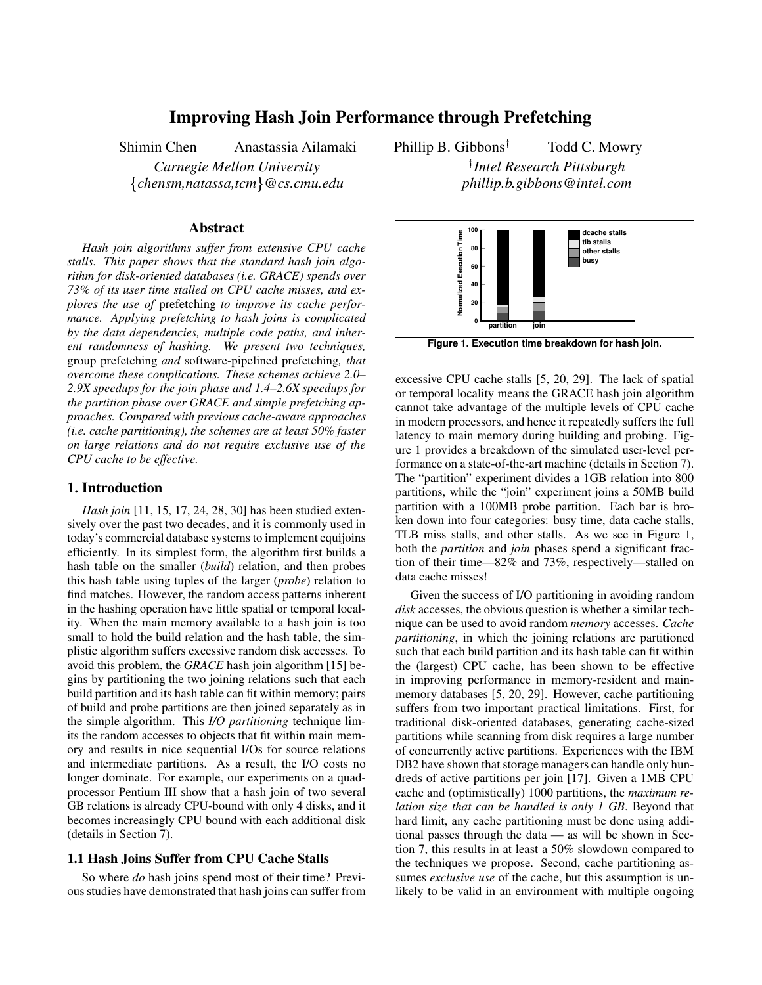# **Improving Hash Join Performance through Prefetching**

Shimin Chen Anastassia Ailamaki Phillip B. Gibbons

*Carnegie Mellon University chensm,natassa,tcm* -

# **Abstract**

*Hash join algorithms suffer from extensive CPU cache stalls. This paper shows that the standard hash join algorithm for disk-oriented databases (i.e. GRACE) spends over 73% of its user time stalled on CPU cache misses, and explores the use of* prefetching *to improve its cache performance. Applying prefetching to hash joins is complicated by the data dependencies, multiple code paths, and inherent randomness of hashing. We present two techniques,* group prefetching *and* software-pipelined prefetching*, that overcome these complications. These schemes achieve 2.0– 2.9X speedups for the join phase and 1.4–2.6X speedups for the partition phase over GRACE and simple prefetching approaches. Compared with previous cache-aware approaches (i.e. cache partitioning), the schemes are at least 50% faster on large relations and do not require exclusive use of the CPU cache to be effective.*

# **1. Introduction**

*Hash join* [11, 15, 17, 24, 28, 30] has been studied extensively over the past two decades, and it is commonly used in today's commercial database systems to implement equijoins efficiently. In its simplest form, the algorithm first builds a hash table on the smaller (*build*) relation, and then probes this hash table using tuples of the larger (*probe*) relation to find matches. However, the random access patterns inherent in the hashing operation have little spatial or temporal locality. When the main memory available to a hash join is too small to hold the build relation and the hash table, the simplistic algorithm suffers excessive random disk accesses. To avoid this problem, the *GRACE* hash join algorithm [15] begins by partitioning the two joining relations such that each build partition and its hash table can fit within memory; pairs of build and probe partitions are then joined separately as in the simple algorithm. This *I/O partitioning* technique limits the random accesses to objects that fit within main memory and results in nice sequential I/Os for source relations and intermediate partitions. As a result, the I/O costs no longer dominate. For example, our experiments on a quadprocessor Pentium III show that a hash join of two several GB relations is already CPU-bound with only 4 disks, and it becomes increasingly CPU bound with each additional disk (details in Section 7).

#### **1.1 Hash Joins Suffer from CPU Cache Stalls**

So where *do* hash joins spend most of their time? Previous studies have demonstrated that hash joins can suffer from

Todd C. Mowry *Intel Research Pittsburgh @cs.cmu.edu phillip.b.gibbons@intel.com*



**Figure 1. Execution time breakdown for hash join.**

excessive CPU cache stalls [5, 20, 29]. The lack of spatial or temporal locality means the GRACE hash join algorithm cannot take advantage of the multiple levels of CPU cache in modern processors, and hence it repeatedly suffers the full latency to main memory during building and probing. Figure 1 provides a breakdown of the simulated user-level performance on a state-of-the-art machine (details in Section 7). The "partition" experiment divides a 1GB relation into 800 partitions, while the "join" experiment joins a 50MB build partition with a 100MB probe partition. Each bar is broken down into four categories: busy time, data cache stalls, TLB miss stalls, and other stalls. As we see in Figure 1, both the *partition* and *join* phases spend a significant fraction of their time—82% and 73%, respectively—stalled on data cache misses!

Given the success of I/O partitioning in avoiding random *disk* accesses, the obvious question is whether a similar technique can be used to avoid random *memory* accesses. *Cache partitioning*, in which the joining relations are partitioned such that each build partition and its hash table can fit within the (largest) CPU cache, has been shown to be effective in improving performance in memory-resident and mainmemory databases [5, 20, 29]. However, cache partitioning suffers from two important practical limitations. First, for traditional disk-oriented databases, generating cache-sized partitions while scanning from disk requires a large number of concurrently active partitions. Experiences with the IBM DB2 have shown that storage managers can handle only hundreds of active partitions per join [17]. Given a 1MB CPU cache and (optimistically) 1000 partitions, the *maximum relation size that can be handled is only 1 GB*. Beyond that hard limit, any cache partitioning must be done using additional passes through the data — as will be shown in Section 7, this results in at least a 50% slowdown compared to the techniques we propose. Second, cache partitioning assumes *exclusive use* of the cache, but this assumption is unlikely to be valid in an environment with multiple ongoing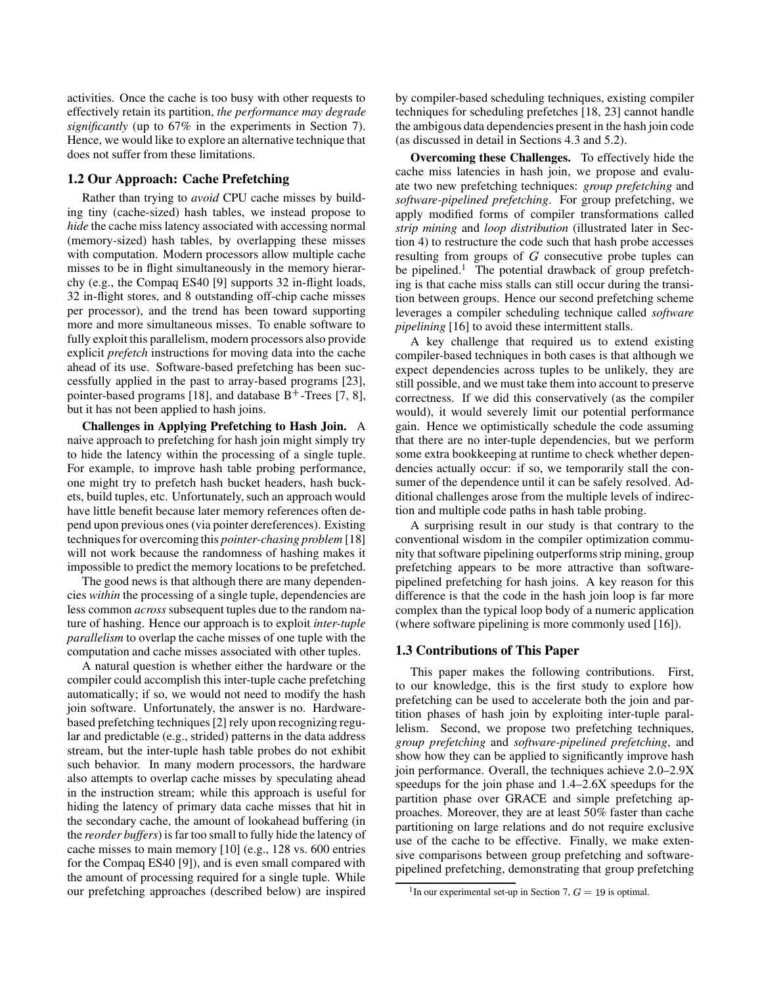activities. Once the cache is too busy with other requests to effectively retain its partition, *the performance may degrade significantly* (up to 67% in the experiments in Section 7). Hence, we would like to explore an alternative technique that does not suffer from these limitations.

#### **1.2 Our Approach: Cache Prefetching**

Rather than trying to *avoid* CPU cache misses by building tiny (cache-sized) hash tables, we instead propose to *hide* the cache miss latency associated with accessing normal (memory-sized) hash tables, by overlapping these misses with computation. Modern processors allow multiple cache misses to be in flight simultaneously in the memory hierarchy (e.g., the Compaq ES40 [9] supports 32 in-flight loads, 32 in-flight stores, and 8 outstanding off-chip cache misses per processor), and the trend has been toward supporting more and more simultaneous misses. To enable software to fully exploit this parallelism, modern processors also provide explicit *prefetch* instructions for moving data into the cache ahead of its use. Software-based prefetching has been successfully applied in the past to array-based programs [23], pointer-based programs [18], and database  $B^+$ -Trees [7, 8], but it has not been applied to hash joins.

**Challenges in Applying Prefetching to Hash Join.** A naive approach to prefetching for hash join might simply try to hide the latency within the processing of a single tuple. For example, to improve hash table probing performance, one might try to prefetch hash bucket headers, hash buckets, build tuples, etc. Unfortunately, such an approach would have little benefit because later memory references often depend upon previous ones (via pointer dereferences). Existing techniques for overcoming this *pointer-chasing problem* [18] will not work because the randomness of hashing makes it impossible to predict the memory locations to be prefetched.

The good news is that although there are many dependencies *within* the processing of a single tuple, dependencies are less common *across* subsequent tuples due to the random nature of hashing. Hence our approach is to exploit *inter-tuple parallelism* to overlap the cache misses of one tuple with the computation and cache misses associated with other tuples.

A natural question is whether either the hardware or the compiler could accomplish this inter-tuple cache prefetching automatically; if so, we would not need to modify the hash join software. Unfortunately, the answer is no. Hardwarebased prefetching techniques[2] rely upon recognizing regular and predictable (e.g., strided) patterns in the data address stream, but the inter-tuple hash table probes do not exhibit such behavior. In many modern processors, the hardware also attempts to overlap cache misses by speculating ahead in the instruction stream; while this approach is useful for hiding the latency of primary data cache misses that hit in the secondary cache, the amount of lookahead buffering (in the *reorder buffers*) is far too small to fully hide the latency of cache misses to main memory [10] (e.g., 128 vs. 600 entries for the Compaq ES40 [9]), and is even small compared with the amount of processing required for a single tuple. While our prefetching approaches (described below) are inspired by compiler-based scheduling techniques, existing compiler techniques for scheduling prefetches [18, 23] cannot handle the ambigous data dependencies present in the hash join code (as discussed in detail in Sections 4.3 and 5.2).

**Overcoming these Challenges.** To effectively hide the cache miss latencies in hash join, we propose and evaluate two new prefetching techniques: *group prefetching* and *software-pipelined prefetching*. For group prefetching, we apply modified forms of compiler transformations called *strip mining* and *loop distribution* (illustrated later in Section 4) to restructure the code such that hash probe accesses resulting from groups of  $G$  consecutive probe tuples can be pipelined.<sup>1</sup> The potential drawback of group prefetching is that cache miss stalls can still occur during the transition between groups. Hence our second prefetching scheme leverages a compiler scheduling technique called *software pipelining* [16] to avoid these intermittent stalls.

A key challenge that required us to extend existing compiler-based techniques in both cases is that although we expect dependencies across tuples to be unlikely, they are still possible, and we must take them into account to preserve correctness. If we did this conservatively (as the compiler would), it would severely limit our potential performance gain. Hence we optimistically schedule the code assuming that there are no inter-tuple dependencies, but we perform some extra bookkeeping at runtime to check whether dependencies actually occur: if so, we temporarily stall the consumer of the dependence until it can be safely resolved. Additional challenges arose from the multiple levels of indirection and multiple code paths in hash table probing.

A surprising result in our study is that contrary to the conventional wisdom in the compiler optimization community that software pipelining outperformsstrip mining, group prefetching appears to be more attractive than softwarepipelined prefetching for hash joins. A key reason for this difference is that the code in the hash join loop is far more complex than the typical loop body of a numeric application (where software pipelining is more commonly used [16]).

# **1.3 Contributions of This Paper**

This paper makes the following contributions. First, to our knowledge, this is the first study to explore how prefetching can be used to accelerate both the join and partition phases of hash join by exploiting inter-tuple parallelism. Second, we propose two prefetching techniques, *group prefetching* and *software-pipelined prefetching*, and show how they can be applied to significantly improve hash join performance. Overall, the techniques achieve 2.0–2.9X speedups for the join phase and 1.4–2.6X speedups for the partition phase over GRACE and simple prefetching approaches. Moreover, they are at least 50% faster than cache partitioning on large relations and do not require exclusive use of the cache to be effective. Finally, we make extensive comparisons between group prefetching and softwarepipelined prefetching, demonstrating that group prefetching

<sup>&</sup>lt;sup>1</sup> In our experimental set-up in Section 7,  $G = 19$  is optimal.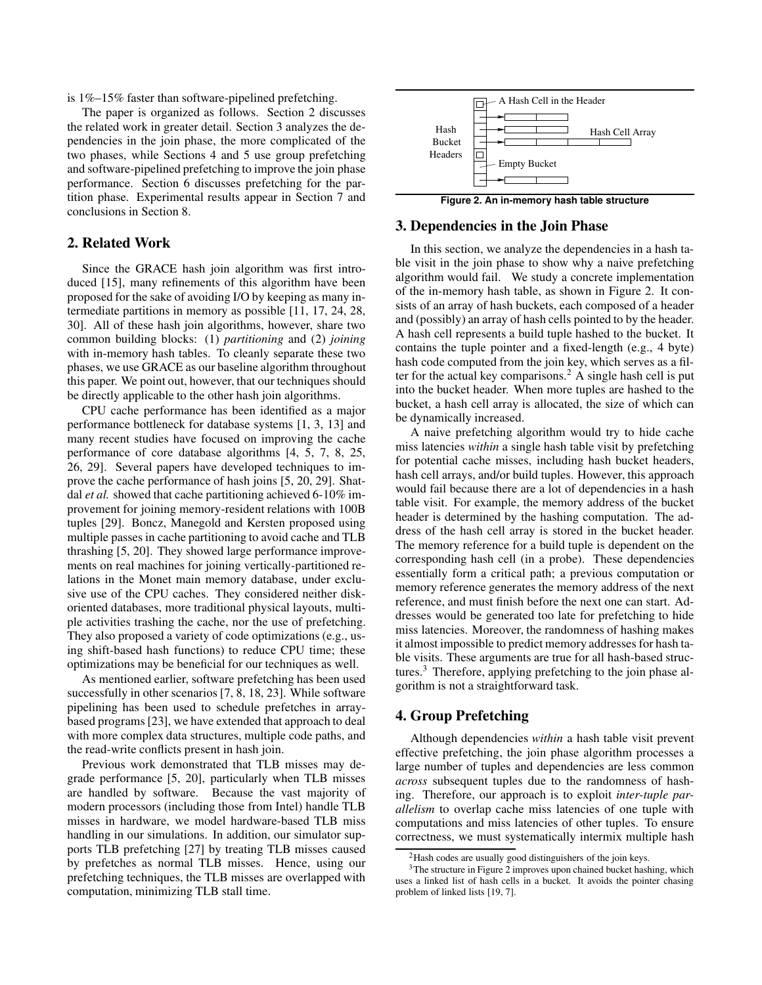is 1%–15% faster than software-pipelined prefetching.

The paper is organized as follows. Section 2 discusses the related work in greater detail. Section 3 analyzes the dependencies in the join phase, the more complicated of the two phases, while Sections 4 and 5 use group prefetching and software-pipelined prefetching to improve the join phase performance. Section 6 discusses prefetching for the partition phase. Experimental results appear in Section 7 and conclusions in Section 8.

# **2. Related Work**

Since the GRACE hash join algorithm was first introduced [15], many refinements of this algorithm have been proposed for the sake of avoiding I/O by keeping as many intermediate partitions in memory as possible [11, 17, 24, 28, 30]. All of these hash join algorithms, however, share two common building blocks: (1) *partitioning* and (2) *joining* with in-memory hash tables. To cleanly separate these two phases, we use GRACE as our baseline algorithm throughout this paper. We point out, however, that our techniques should be directly applicable to the other hash join algorithms.

CPU cache performance has been identified as a major performance bottleneck for database systems [1, 3, 13] and many recent studies have focused on improving the cache performance of core database algorithms [4, 5, 7, 8, 25, 26, 29]. Several papers have developed techniques to improve the cache performance of hash joins [5, 20, 29]. Shatdal *et al.* showed that cache partitioning achieved 6-10% improvement for joining memory-resident relations with 100B tuples [29]. Boncz, Manegold and Kersten proposed using multiple passes in cache partitioning to avoid cache and TLB thrashing [5, 20]. They showed large performance improvements on real machines for joining vertically-partitioned relations in the Monet main memory database, under exclusive use of the CPU caches. They considered neither diskoriented databases, more traditional physical layouts, multiple activities trashing the cache, nor the use of prefetching. They also proposed a variety of code optimizations (e.g., using shift-based hash functions) to reduce CPU time; these optimizations may be beneficial for our techniques as well.

As mentioned earlier, software prefetching has been used successfully in other scenarios [7, 8, 18, 23]. While software pipelining has been used to schedule prefetches in arraybased programs[23], we have extended that approach to deal with more complex data structures, multiple code paths, and the read-write conflicts present in hash join.

Previous work demonstrated that TLB misses may degrade performance [5, 20], particularly when TLB misses are handled by software. Because the vast majority of modern processors (including those from Intel) handle TLB misses in hardware, we model hardware-based TLB miss handling in our simulations. In addition, our simulator supports TLB prefetching [27] by treating TLB misses caused by prefetches as normal TLB misses. Hence, using our prefetching techniques, the TLB misses are overlapped with computation, minimizing TLB stall time.



**Figure 2. An in-memory hash table structure**

# **3. Dependencies in the Join Phase**

In this section, we analyze the dependencies in a hash table visit in the join phase to show why a naive prefetching algorithm would fail. We study a concrete implementation of the in-memory hash table, as shown in Figure 2. It consists of an array of hash buckets, each composed of a header and (possibly) an array of hash cells pointed to by the header. A hash cell represents a build tuple hashed to the bucket. It contains the tuple pointer and a fixed-length (e.g., 4 byte) hash code computed from the join key, which serves as a filter for the actual key comparisons.<sup>2</sup> A single hash cell is put into the bucket header. When more tuples are hashed to the bucket, a hash cell array is allocated, the size of which can be dynamically increased.

A naive prefetching algorithm would try to hide cache miss latencies *within* a single hash table visit by prefetching for potential cache misses, including hash bucket headers, hash cell arrays, and/or build tuples. However, this approach would fail because there are a lot of dependencies in a hash table visit. For example, the memory address of the bucket header is determined by the hashing computation. The address of the hash cell array is stored in the bucket header. The memory reference for a build tuple is dependent on the corresponding hash cell (in a probe). These dependencies essentially form a critical path; a previous computation or memory reference generates the memory address of the next reference, and must finish before the next one can start. Addresses would be generated too late for prefetching to hide miss latencies. Moreover, the randomness of hashing makes it almost impossible to predict memory addresses for hash table visits. These arguments are true for all hash-based structures. $3$  Therefore, applying prefetching to the join phase algorithm is not a straightforward task.

# **4. Group Prefetching**

Although dependencies *within* a hash table visit prevent effective prefetching, the join phase algorithm processes a large number of tuples and dependencies are less common *across* subsequent tuples due to the randomness of hashing. Therefore, our approach is to exploit *inter-tuple parallelism* to overlap cache miss latencies of one tuple with computations and miss latencies of other tuples. To ensure correctness, we must systematically intermix multiple hash

<sup>&</sup>lt;sup>2</sup>Hash codes are usually good distinguishers of the join keys.

<sup>&</sup>lt;sup>3</sup>The structure in Figure 2 improves upon chained bucket hashing, which uses a linked list of hash cells in a bucket. It avoids the pointer chasing problem of linked lists [19, 7].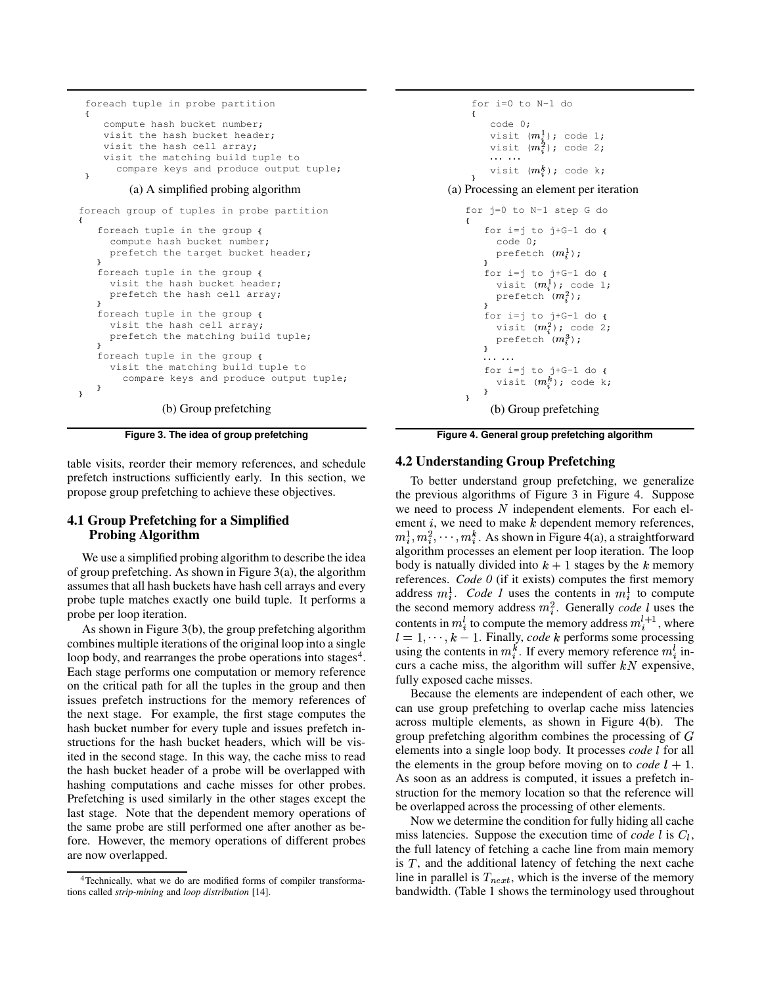```
foreach tuple in probe partition
€
   compute hash bucket number;
   visit the hash bucket header;
   visit the hash cell array;
   visit the matching build tuple to
\mathbf{r}compare keys and produce output tuple;
```
#### (a) A simplified probing algorithm

```
foreach group of tuples in probe partition
\sim \sim \sim \sim \sim \simforeach tuple in the group 
     compute hash bucket number;
     prefetch the target bucket header;

   foreach tuple in the group 
     visit the hash bucket header;
     prefetch the hash cell array;

   foreach tuple in the group 
     visit the hash cell array;
     prefetch the matching build tuple;
   -1
   foreach tuple in the group 
     visit the matching build tuple to
        compare keys and produce output tuple;
   3
\mathbf{1}
```
(b) Group prefetching

**Figure 3. The idea of group prefetching**

table visits, reorder their memory references, and schedule prefetch instructions sufficiently early. In this section, we propose group prefetching to achieve these objectives.

## **4.1 Group Prefetching for a Simplified Probing Algorithm**

We use a simplified probing algorithm to describe the idea of group prefetching. As shown in Figure  $3(a)$ , the algorithm assumes that all hash buckets have hash cell arrays and every probe tuple matches exactly one build tuple. It performs a probe per loop iteration.

As shown in Figure 3(b), the group prefetching algorithm combines multiple iterations of the original loop into a single loop body, and rearranges the probe operations into stages<sup>4</sup>. Each stage performs one computation or memory reference on the critical path for all the tuples in the group and then issues prefetch instructions for the memory references of the next stage. For example, the first stage computes the hash bucket number for every tuple and issues prefetch instructions for the hash bucket headers, which will be visited in the second stage. In this way, the cache miss to read the hash bucket header of a probe will be overlapped with hashing computations and cache misses for other probes. Prefetching is used similarly in the other stages except the last stage. Note that the dependent memory operations of the same probe are still performed one after another as before. However, the memory operations of different probes are now overlapped.

```
for i=0 to N-1 do
\mathbf{f}code 0;
    visit (m_i^1); code 1;
    visit (m_i^2); code 2;
    Sales Street
\mathbf{A}visit (m_i^k); code k;
```
(a) Processing an element per iteration

```
for j=0 to N-1 step G do
€
    for i=j to j+G-1 do \{code 0;
       prefetch (m_i^1);

    for i=j to j+G-1 do \{visit (m_i^1); code 1;
       prefetch (m_i^2);

    for i=j to j+G-1 do {
       visit (m_i^2); code 2;
       prefetch (m_i^3);
   \overline{\mathbf{r}}Service State
    for i=j to j+G-1 do {
      visit (m_i^k); code k;

\overline{\mathbf{r}}(b) Group prefetching
```
**Figure 4. General group prefetching algorithm**

## **4.2 Understanding Group Prefetching**

To better understand group prefetching, we generalize the previous algorithms of Figure 3 in Figure 4. Suppose we need to process  $N$  independent elements. For each element  $i$ , we need to make  $k$  dependent memory references,  $m_i^1, m_i^2, \cdots, m_i^k$ . As shown in Figure 4(a), a straightforward algorithm processes an element per loop iteration. The loop body is natually divided into  $k+1$  stages by the k memory references. *Code 0* (if it exists) computes the first memory address  $m_i^1$ . *Code 1* uses the contents in  $m_i^1$  to compute the second memory address  $m_i^2$ . Generally *code* l uses the contents in  $m_i^l$  to compute the memory address  $m_i^{l+1}$ , where  $l=1,\dots,k-1$ . Finally, *code*  $k$  performs some processing using the contents in  $m_i^k$ . If every memory reference  $m_i^l$  incurs a cache miss, the algorithm will suffer  $kN$  expensive, fully exposed cache misses.

Because the elements are independent of each other, we can use group prefetching to overlap cache miss latencies across multiple elements, as shown in Figure 4(b). The group prefetching algorithm combines the processing of  $G$ elements into a single loop body. It processes *code* / for all the elements in the group before moving on to *code*  $l + 1$ . As soon as an address is computed, it issues a prefetch instruction for the memory location so that the reference will be overlapped across the processing of other elements.

Now we determine the condition for fully hiding all cache miss latencies. Suppose the execution time of *code*  $l$  is  $C_l$ , the full latency of fetching a cache line from main memory is  $T$ , and the additional latency of fetching the next cache line in parallel is  $T_{next}$ , which is the inverse of the memory bandwidth. (Table 1 shows the terminology used throughout

<sup>4</sup>Technically, what we do are modified forms of compiler transformations called *strip-mining* and *loop distribution* [14].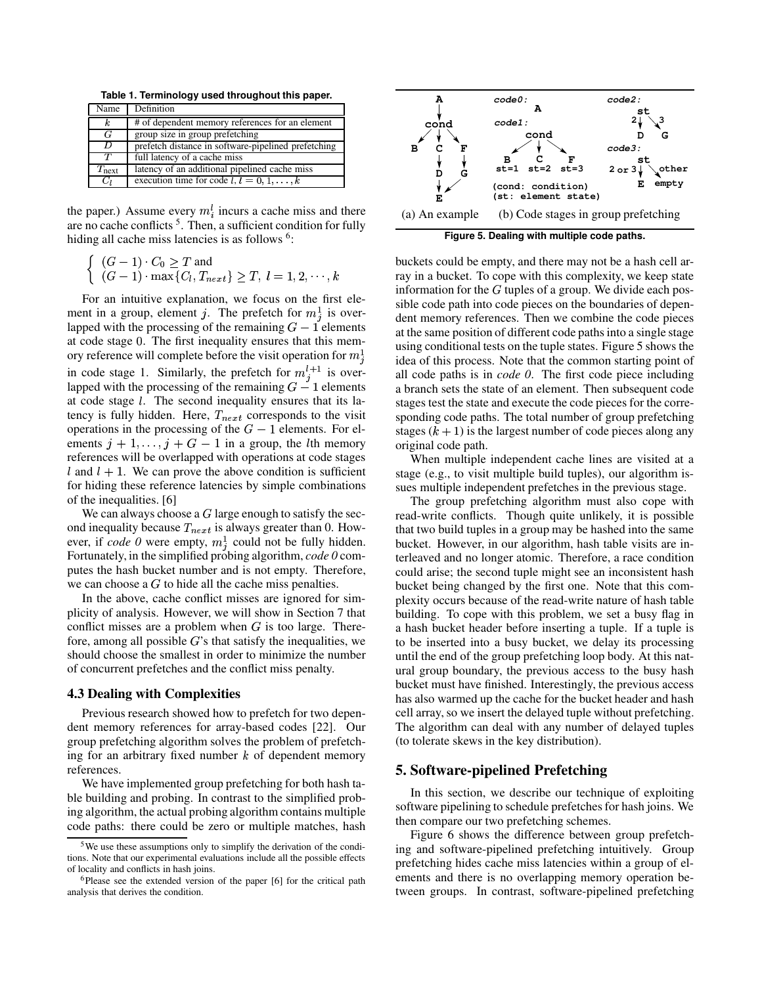**Table 1. Terminology used throughout this paper.**

| Name              | Definition                                          |  |
|-------------------|-----------------------------------------------------|--|
| k.                | # of dependent memory references for an element     |  |
| G                 | group size in group prefetching                     |  |
| D                 | prefetch distance in software-pipelined prefetching |  |
| $\tau$            | full latency of a cache miss                        |  |
| $T_{\text{next}}$ | latency of an additional pipelined cache miss       |  |
| $C_I$             | execution time for code $l, l = 0, 1, \ldots, k$    |  |

the paper.) Assume every  $m_i^l$  incurs a cache miss and there are no cache conflicts<sup>5</sup>. Then, a sufficient condition for fully hiding all cache miss latencies is as follows<sup>6</sup>:

$$
\begin{cases} (G-1)\cdot C_0 \geq T \text{ and} \\ (G-1)\cdot \max\{C_l, T_{next}\} \geq T, \ l=1,2,\cdots,k \end{cases}
$$

For an intuitive explanation, we focus on the first element in a group, element j. The prefetch for  $m_j^1$  is overlapped with the processing of the remaining  $G-1$  elements at code stage 0. The first inequality ensures that this memory reference will complete before the visit operation for  $m_i^1$ in code stage 1. Similarly, the prefetch for  $m_j^{l+1}$  is overlapped with the processing of the remaining  $G - 1$  elements at code stage *l*. The second inequality ensures that its latency is fully hidden. Here,  $T_{next}$  corresponds to the visit operations in the processing of the  $G-1$  elements. For elements  $j+1,\ldots,j+G-1$  in a group, the *l*th memory references will be overlapped with operations at code stages l and  $l + 1$ . We can prove the above condition is sufficient for hiding these reference latencies by simple combinations of the inequalities. [6]

We can always choose a  $G$  large enough to satisfy the second inequality because  $T_{next}$  is always greater than 0. However, if *code* 0 were empty,  $m_j^1$  could not be fully hidden. Fortunately, in the simplified probing algorithm, *code 0* computes the hash bucket number and is not empty. Therefore, we can choose a  $G$  to hide all the cache miss penalties.

In the above, cache conflict misses are ignored for simplicity of analysis. However, we will show in Section 7 that conflict misses are a problem when  $G$  is too large. Therefore, among all possible  $G$ 's that satisfy the inequalities, we should choose the smallest in order to minimize the number of concurrent prefetches and the conflict miss penalty.

#### **4.3 Dealing with Complexities**

Previous research showed how to prefetch for two dependent memory references for array-based codes [22]. Our group prefetching algorithm solves the problem of prefetching for an arbitrary fixed number  $k$  of dependent memory references.

We have implemented group prefetching for both hash table building and probing. In contrast to the simplified probing algorithm, the actual probing algorithm contains multiple code paths: there could be zero or multiple matches, hash



buckets could be empty, and there may not be a hash cell array in a bucket. To cope with this complexity, we keep state information for the  $G$  tuples of a group. We divide each possible code path into code pieces on the boundaries of dependent memory references. Then we combine the code pieces at the same position of different code paths into a single stage using conditional tests on the tuple states. Figure 5 shows the idea of this process. Note that the common starting point of all code paths is in *code 0*. The first code piece including a branch sets the state of an element. Then subsequent code stages test the state and execute the code pieces for the corresponding code paths. The total number of group prefetching stages  $(k + 1)$  is the largest number of code pieces along any original code path.

When multiple independent cache lines are visited at a stage (e.g., to visit multiple build tuples), our algorithm issues multiple independent prefetches in the previous stage.

The group prefetching algorithm must also cope with read-write conflicts. Though quite unlikely, it is possible that two build tuples in a group may be hashed into the same bucket. However, in our algorithm, hash table visits are interleaved and no longer atomic. Therefore, a race condition could arise; the second tuple might see an inconsistent hash bucket being changed by the first one. Note that this complexity occurs because of the read-write nature of hash table building. To cope with this problem, we set a busy flag in a hash bucket header before inserting a tuple. If a tuple is to be inserted into a busy bucket, we delay its processing until the end of the group prefetching loop body. At this natural group boundary, the previous access to the busy hash bucket must have finished. Interestingly, the previous access has also warmed up the cache for the bucket header and hash cell array, so we insert the delayed tuple without prefetching. The algorithm can deal with any number of delayed tuples (to tolerate skews in the key distribution).

# **5. Software-pipelined Prefetching**

In this section, we describe our technique of exploiting software pipelining to schedule prefetches for hash joins. We then compare our two prefetching schemes.

Figure 6 shows the difference between group prefetching and software-pipelined prefetching intuitively. Group prefetching hides cache miss latencies within a group of elements and there is no overlapping memory operation between groups. In contrast, software-pipelined prefetching

<sup>&</sup>lt;sup>5</sup>We use these assumptions only to simplify the derivation of the conditions. Note that our experimental evaluations include all the possible effects of locality and conflicts in hash joins.

<sup>&</sup>lt;sup>6</sup>Please see the extended version of the paper [6] for the critical path analysis that derives the condition.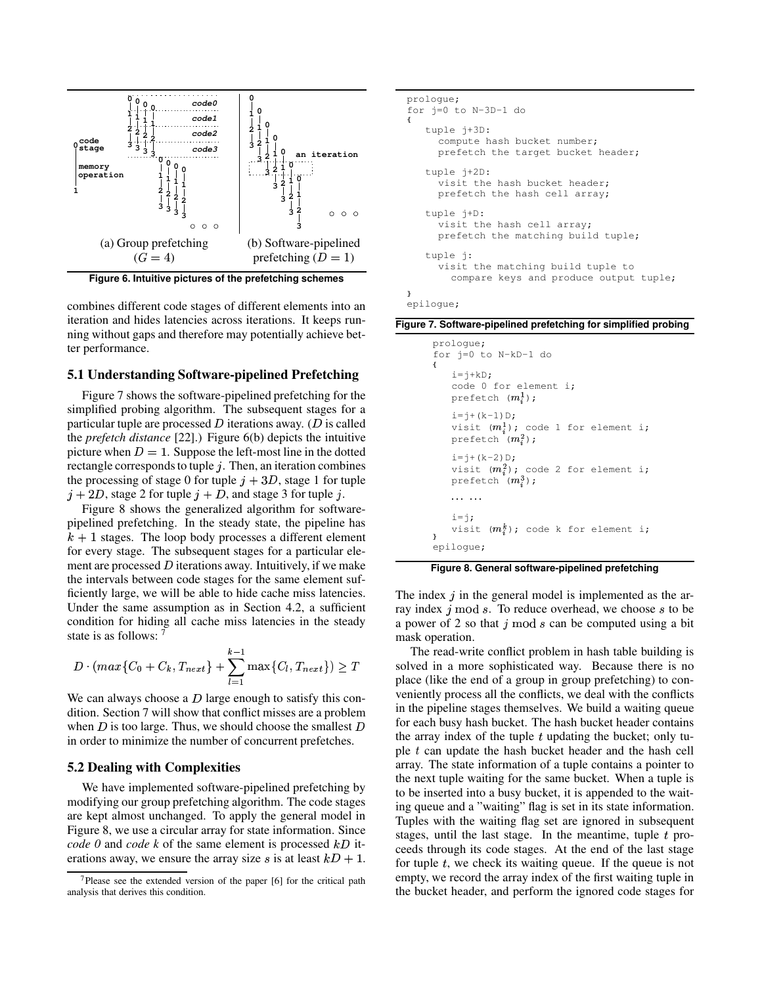

combines different code stages of different elements into an iteration and hides latencies across iterations. It keeps running without gaps and therefore may potentially achieve better performance.

#### **5.1 Understanding Software-pipelined Prefetching**

Figure 7 shows the software-pipelined prefetching for the simplified probing algorithm. The subsequent stages for a particular tuple are processed  $D$  iterations away. ( $D$  is called the *prefetch distance* [22].) Figure 6(b) depicts the intuitive picture when  $D = 1$ . Suppose the left-most line in the dotted rectangle corresponds to tuple  $i$ . Then, an iteration combines the processing of stage 0 for tuple  $j + 3D$ , stage 1 for tuple  $i+2D$ , stage 2 for tuple  $j+D$ , and stage 3 for tuple j.

Figure 8 shows the generalized algorithm for softwarepipelined prefetching. In the steady state, the pipeline has  $k + 1$  stages. The loop body processes a different element for every stage. The subsequent stages for a particular element are processed  $D$  iterations away. Intuitively, if we make the intervals between code stages for the same element sufficiently large, we will be able to hide cache miss latencies. Under the same assumption as in Section 4.2, a sufficient condition for hiding all cache miss latencies in the steady state is as follows:

$$
D \cdot (max\{C_0 + C_k, T_{next}\} + \sum_{l=1}^{k-1} \max\{C_l, T_{next}\}) \ge T
$$

We can always choose a  $D$  large enough to satisfy this condition. Section 7 will show that conflict misses are a problem when  $D$  is too large. Thus, we should choose the smallest  $D$ in order to minimize the number of concurrent prefetches.

#### **5.2 Dealing with Complexities**

We have implemented software-pipelined prefetching by modifying our group prefetching algorithm. The code stages are kept almost unchanged. To apply the general model in Figure 8, we use a circular array for state information. Since *code* 0 and *code*  $k$  of the same element is processed  $kD$  iterations away, we ensure the array size s is at least  $kD+1$ .

```
prologue;
for j=0 to N-3D-1 do

   tuple j+3D:
     compute hash bucket number;
     prefetch the target bucket header;
   tuple j+2D:
     visit the hash bucket header;
     prefetch the hash cell array;
   tuple j+D:
     visit the hash cell array;
     prefetch the matching build tuple;
   tuple j:
     visit the matching build tuple to
       compare keys and produce output tuple;
\mathbf{v}
```

```
epilogue;
```
**Figure 7. Software-pipelined prefetching for simplified probing**

```
prologue;
for j=0 to N-kD-1 do
\left\{ \right.i=j+kD;code 0 for element i;
    prefetch (m_i^1);
   i = j + (k-1)D;
    visit (m_i^1); code 1 for element i;
    prefetch (m_i^2);
   i=1+(k-2)D;
    visit (m_i^2); code 2 for element i;
    prefetch (m_i^3);
   de la calca
   i=j;
visit (m_i^k); code k for element i;
epilogue;
```
**Figure 8. General software-pipelined prefetching**

The index  $j$  in the general model is implemented as the array index  $j \mod s$ . To reduce overhead, we choose  $s$  to be a power of 2 so that  $j \mod s$  can be computed using a bit mask operation.

 $T_{next}$ })  $\geq T$  solved in a more sophisticated way. Because there is no The read-write conflict problem in hash table building is place (like the end of a group in group prefetching) to conveniently process all the conflicts, we deal with the conflicts in the pipeline stages themselves. We build a waiting queue for each busy hash bucket. The hash bucket header contains the array index of the tuple  $t$  updating the bucket; only tuple  $t$  can update the hash bucket header and the hash cell array. The state information of a tuple contains a pointer to the next tuple waiting for the same bucket. When a tuple is to be inserted into a busy bucket, it is appended to the waiting queue and a "waiting" flag is set in its state information. Tuples with the waiting flag set are ignored in subsequent stages, until the last stage. In the meantime, tuple  $t$  proceeds through its code stages. At the end of the last stage for tuple  $t$ , we check its waiting queue. If the queue is not empty, we record the array index of the first waiting tuple in the bucket header, and perform the ignored code stages for

<sup>&</sup>lt;sup>7</sup>Please see the extended version of the paper [6] for the critical path analysis that derives this condition.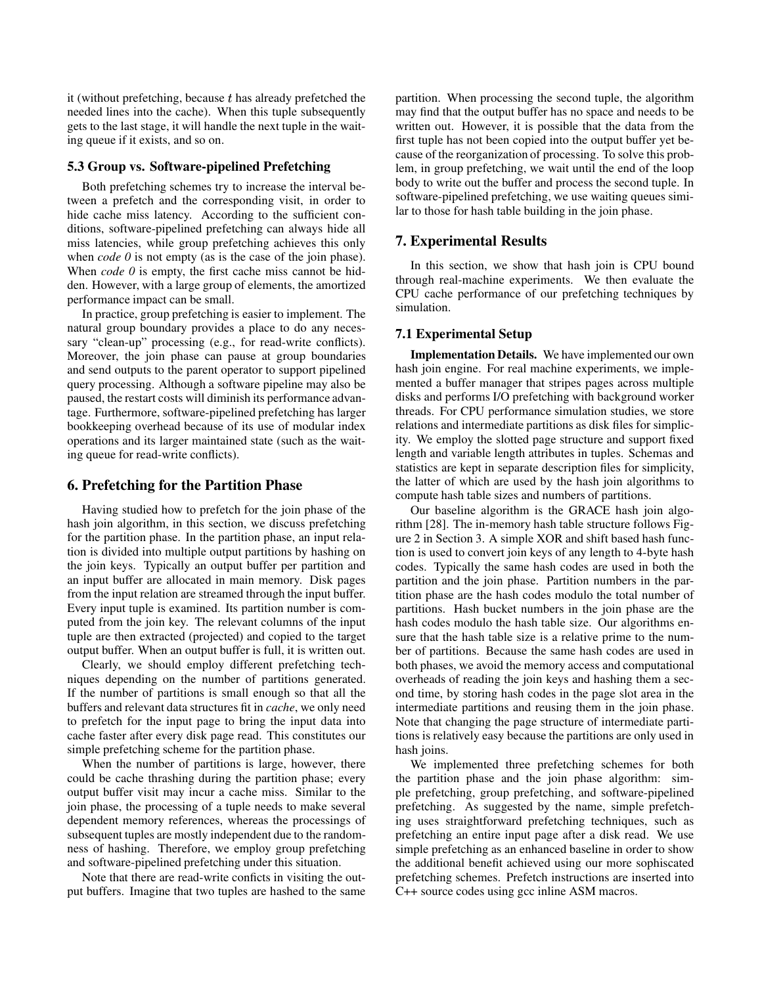it (without prefetching, because  $t$  has already prefetched the needed lines into the cache). When this tuple subsequently gets to the last stage, it will handle the next tuple in the waiting queue if it exists, and so on.

#### **5.3 Group vs. Software-pipelined Prefetching**

Both prefetching schemes try to increase the interval between a prefetch and the corresponding visit, in order to hide cache miss latency. According to the sufficient conditions, software-pipelined prefetching can always hide all miss latencies, while group prefetching achieves this only when *code* 0 is not empty (as is the case of the join phase). When *code* 0 is empty, the first cache miss cannot be hidden. However, with a large group of elements, the amortized performance impact can be small.

In practice, group prefetching is easier to implement. The natural group boundary provides a place to do any necessary "clean-up" processing (e.g., for read-write conflicts). Moreover, the join phase can pause at group boundaries and send outputs to the parent operator to support pipelined query processing. Although a software pipeline may also be paused, the restart costs will diminish its performance advantage. Furthermore, software-pipelined prefetching has larger bookkeeping overhead because of its use of modular index operations and its larger maintained state (such as the waiting queue for read-write conflicts).

## **6. Prefetching for the Partition Phase**

Having studied how to prefetch for the join phase of the hash join algorithm, in this section, we discuss prefetching for the partition phase. In the partition phase, an input relation is divided into multiple output partitions by hashing on the join keys. Typically an output buffer per partition and an input buffer are allocated in main memory. Disk pages from the input relation are streamed through the input buffer. Every input tuple is examined. Its partition number is computed from the join key. The relevant columns of the input tuple are then extracted (projected) and copied to the target output buffer. When an output buffer is full, it is written out.

Clearly, we should employ different prefetching techniques depending on the number of partitions generated. If the number of partitions is small enough so that all the buffers and relevant data structures fit in *cache*, we only need to prefetch for the input page to bring the input data into cache faster after every disk page read. This constitutes our simple prefetching scheme for the partition phase.

When the number of partitions is large, however, there could be cache thrashing during the partition phase; every output buffer visit may incur a cache miss. Similar to the join phase, the processing of a tuple needs to make several dependent memory references, whereas the processings of subsequent tuples are mostly independent due to the randomness of hashing. Therefore, we employ group prefetching and software-pipelined prefetching under this situation.

Note that there are read-write conficts in visiting the output buffers. Imagine that two tuples are hashed to the same partition. When processing the second tuple, the algorithm may find that the output buffer has no space and needs to be written out. However, it is possible that the data from the first tuple has not been copied into the output buffer yet because of the reorganization of processing. To solve this problem, in group prefetching, we wait until the end of the loop body to write out the buffer and process the second tuple. In software-pipelined prefetching, we use waiting queues similar to those for hash table building in the join phase.

# **7. Experimental Results**

In this section, we show that hash join is CPU bound through real-machine experiments. We then evaluate the CPU cache performance of our prefetching techniques by simulation.

#### **7.1 Experimental Setup**

**Implementation Details.** We have implemented our own hash join engine. For real machine experiments, we implemented a buffer manager that stripes pages across multiple disks and performs I/O prefetching with background worker threads. For CPU performance simulation studies, we store relations and intermediate partitions as disk files for simplicity. We employ the slotted page structure and support fixed length and variable length attributes in tuples. Schemas and statistics are kept in separate description files for simplicity, the latter of which are used by the hash join algorithms to compute hash table sizes and numbers of partitions.

Our baseline algorithm is the GRACE hash join algorithm [28]. The in-memory hash table structure follows Figure 2 in Section 3. A simple XOR and shift based hash function is used to convert join keys of any length to 4-byte hash codes. Typically the same hash codes are used in both the partition and the join phase. Partition numbers in the partition phase are the hash codes modulo the total number of partitions. Hash bucket numbers in the join phase are the hash codes modulo the hash table size. Our algorithms ensure that the hash table size is a relative prime to the number of partitions. Because the same hash codes are used in both phases, we avoid the memory access and computational overheads of reading the join keys and hashing them a second time, by storing hash codes in the page slot area in the intermediate partitions and reusing them in the join phase. Note that changing the page structure of intermediate partitions is relatively easy because the partitions are only used in hash joins.

We implemented three prefetching schemes for both the partition phase and the join phase algorithm: simple prefetching, group prefetching, and software-pipelined prefetching. As suggested by the name, simple prefetching uses straightforward prefetching techniques, such as prefetching an entire input page after a disk read. We use simple prefetching as an enhanced baseline in order to show the additional benefit achieved using our more sophiscated prefetching schemes. Prefetch instructions are inserted into C++ source codes using gcc inline ASM macros.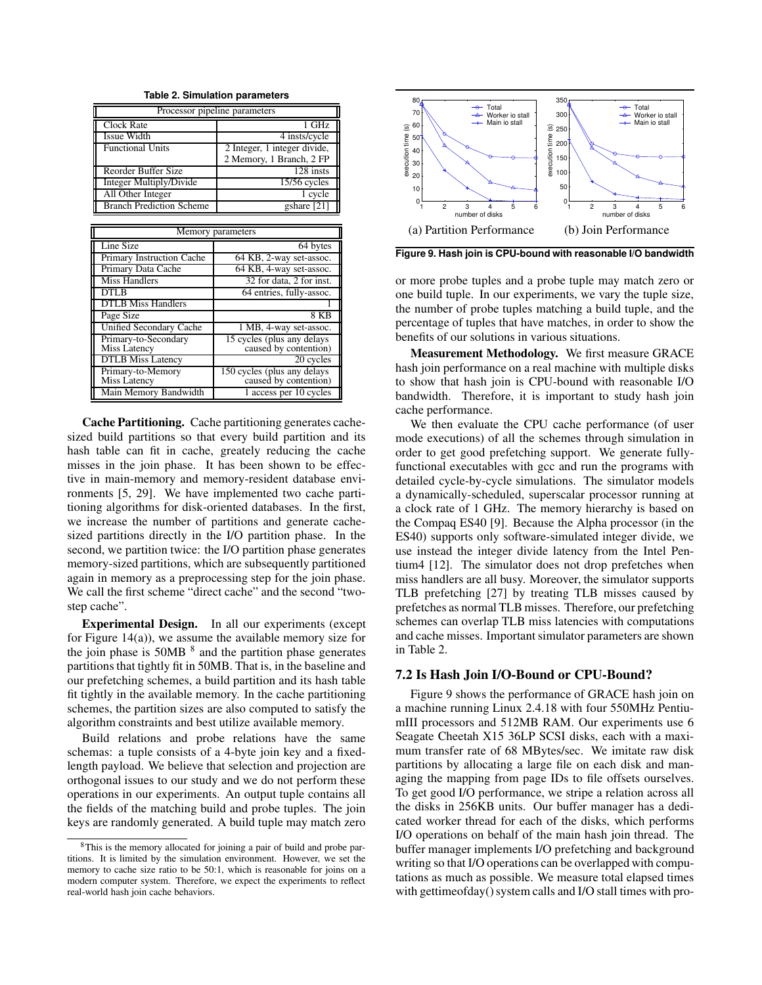**Table 2. Simulation parameters**

| Processor pipeline parameters   |                                                          |  |
|---------------------------------|----------------------------------------------------------|--|
| Clock Rate                      | 1 GHz                                                    |  |
| <b>Issue Width</b>              | 4 insts/cycle                                            |  |
| <b>Functional Units</b>         | 2 Integer, 1 integer divide,<br>2 Memory, 1 Branch, 2 FP |  |
| Reorder Buffer Size             | 128 insts                                                |  |
| <b>Integer Multiply/Divide</b>  | $15/56$ cycles                                           |  |
| All Other Integer               | 1 cycle                                                  |  |
| <b>Branch Prediction Scheme</b> | gshare [21]                                              |  |

| Memory parameters                           |                                                       |  |
|---------------------------------------------|-------------------------------------------------------|--|
| Line Size                                   | $\overline{6}4$ bytes                                 |  |
| <b>Primary Instruction Cache</b>            | 64 KB, 2-way set-assoc.                               |  |
| Primary Data Cache                          | $\overline{64}$ KB, 4-way set-assoc.                  |  |
| <b>Miss Handlers</b>                        | 32 for data, 2 for inst.                              |  |
| DTLB                                        | 64 entries, fully-assoc.                              |  |
| <b>DTLB Miss Handlers</b>                   |                                                       |  |
| Page Size                                   | $8$ KB                                                |  |
| <b>Unified Secondary Cache</b>              | 1 MB, 4-way set-assoc.                                |  |
| Primary-to-Secondary<br><b>Miss Latency</b> | 15 cycles (plus any delays<br>caused by contention)   |  |
| <b>DTLB Miss Latency</b>                    | 20 cycles                                             |  |
| Primary-to-Memory<br>Miss Latency           | 150 cycles (plus any delays)<br>caused by contention) |  |
| Main Memory Bandwidth                       | 1 access per 10 cycles                                |  |

**Cache Partitioning.** Cache partitioning generates cachesized build partitions so that every build partition and its hash table can fit in cache, greately reducing the cache misses in the join phase. It has been shown to be effective in main-memory and memory-resident database environments [5, 29]. We have implemented two cache partitioning algorithms for disk-oriented databases. In the first, we increase the number of partitions and generate cachesized partitions directly in the I/O partition phase. In the second, we partition twice: the I/O partition phase generates memory-sized partitions, which are subsequently partitioned again in memory as a preprocessing step for the join phase. We call the first scheme "direct cache" and the second "twostep cache".

**Experimental Design.** In all our experiments (except for Figure 14(a)), we assume the available memory size for the join phase is  $50MB<sup>8</sup>$  and the partition phase generates partitions that tightly fit in 50MB. That is, in the baseline and our prefetching schemes, a build partition and its hash table fit tightly in the available memory. In the cache partitioning schemes, the partition sizes are also computed to satisfy the algorithm constraints and best utilize available memory.

Build relations and probe relations have the same schemas: a tuple consists of a 4-byte join key and a fixedlength payload. We believe that selection and projection are orthogonal issues to our study and we do not perform these operations in our experiments. An output tuple contains all the fields of the matching build and probe tuples. The join keys are randomly generated. A build tuple may match zero



**Figure 9. Hash join is CPU-bound with reasonable I/O bandwidth**

or more probe tuples and a probe tuple may match zero or one build tuple. In our experiments, we vary the tuple size, the number of probe tuples matching a build tuple, and the percentage of tuples that have matches, in order to show the benefits of our solutions in various situations.

**Measurement Methodology.** We first measure GRACE hash join performance on a real machine with multiple disks to show that hash join is CPU-bound with reasonable I/O bandwidth. Therefore, it is important to study hash join cache performance.

We then evaluate the CPU cache performance (of user mode executions) of all the schemes through simulation in order to get good prefetching support. We generate fullyfunctional executables with gcc and run the programs with detailed cycle-by-cycle simulations. The simulator models a dynamically-scheduled, superscalar processor running at a clock rate of 1 GHz. The memory hierarchy is based on the Compaq ES40 [9]. Because the Alpha processor (in the ES40) supports only software-simulated integer divide, we use instead the integer divide latency from the Intel Pentium4 [12]. The simulator does not drop prefetches when miss handlers are all busy. Moreover, the simulator supports TLB prefetching [27] by treating TLB misses caused by prefetches as normal TLB misses. Therefore, our prefetching schemes can overlap TLB miss latencies with computations and cache misses. Important simulator parameters are shown in Table 2.

#### **7.2 Is Hash Join I/O-Bound or CPU-Bound?**

Figure 9 shows the performance of GRACE hash join on a machine running Linux 2.4.18 with four 550MHz PentiumIII processors and 512MB RAM. Our experiments use 6 Seagate Cheetah X15 36LP SCSI disks, each with a maximum transfer rate of 68 MBytes/sec. We imitate raw disk partitions by allocating a large file on each disk and managing the mapping from page IDs to file offsets ourselves. To get good I/O performance, we stripe a relation across all the disks in 256KB units. Our buffer manager has a dedicated worker thread for each of the disks, which performs I/O operations on behalf of the main hash join thread. The buffer manager implements I/O prefetching and background writing so that I/O operations can be overlapped with computations as much as possible. We measure total elapsed times with gettimeofday() system calls and I/O stall times with pro-

<sup>&</sup>lt;sup>8</sup>This is the memory allocated for joining a pair of build and probe partitions. It is limited by the simulation environment. However, we set the memory to cache size ratio to be 50:1, which is reasonable for joins on a modern computer system. Therefore, we expect the experiments to reflect real-world hash join cache behaviors.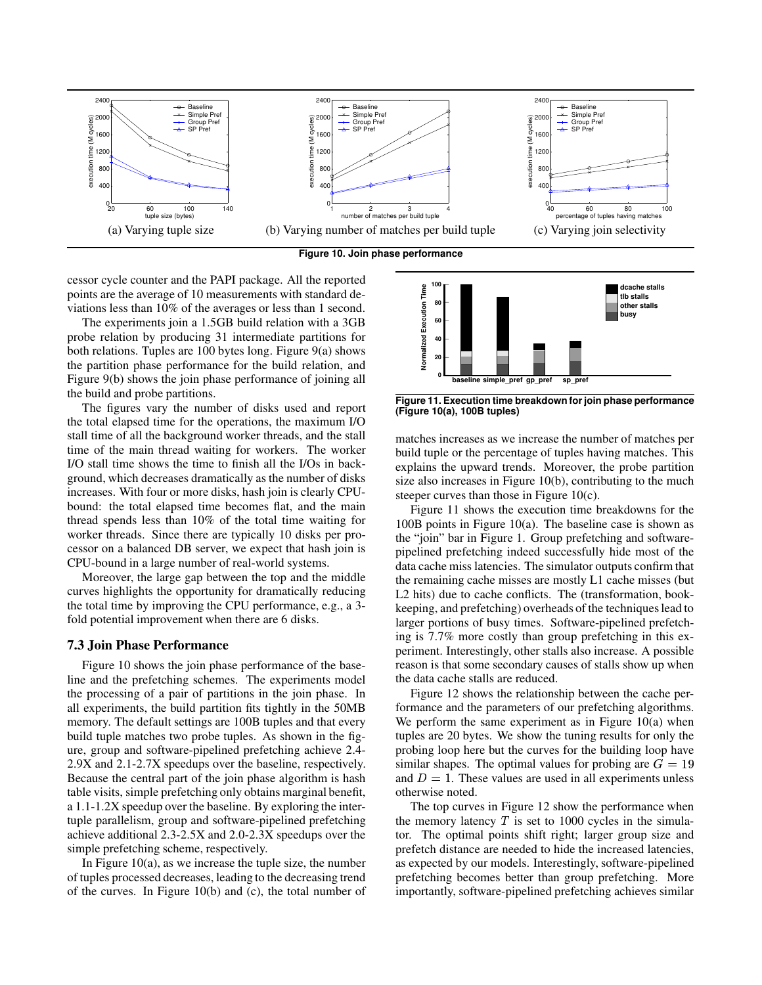

**Figure 10. Join phase performance**

cessor cycle counter and the PAPI package. All the reported points are the average of 10 measurements with standard deviations less than 10% of the averages or less than 1 second.

The experiments join a 1.5GB build relation with a 3GB probe relation by producing 31 intermediate partitions for both relations. Tuples are 100 bytes long. Figure 9(a) shows the partition phase performance for the build relation, and Figure 9(b) shows the join phase performance of joining all the build and probe partitions.

The figures vary the number of disks used and report the total elapsed time for the operations, the maximum I/O stall time of all the background worker threads, and the stall time of the main thread waiting for workers. The worker I/O stall time shows the time to finish all the I/Os in background, which decreases dramatically as the number of disks increases. With four or more disks, hash join is clearly CPUbound: the total elapsed time becomes flat, and the main thread spends less than 10% of the total time waiting for worker threads. Since there are typically 10 disks per processor on a balanced DB server, we expect that hash join is CPU-bound in a large number of real-world systems.

Moreover, the large gap between the top and the middle curves highlights the opportunity for dramatically reducing the total time by improving the CPU performance, e.g., a 3 fold potential improvement when there are 6 disks.

#### **7.3 Join Phase Performance**

Figure 10 shows the join phase performance of the baseline and the prefetching schemes. The experiments model the processing of a pair of partitions in the join phase. In all experiments, the build partition fits tightly in the 50MB memory. The default settings are 100B tuples and that every build tuple matches two probe tuples. As shown in the figure, group and software-pipelined prefetching achieve 2.4- 2.9X and 2.1-2.7X speedups over the baseline, respectively. Because the central part of the join phase algorithm is hash table visits, simple prefetching only obtains marginal benefit, a 1.1-1.2X speedup over the baseline. By exploring the intertuple parallelism, group and software-pipelined prefetching achieve additional 2.3-2.5X and 2.0-2.3X speedups over the simple prefetching scheme, respectively.

In Figure  $10(a)$ , as we increase the tuple size, the number of tuples processed decreases, leading to the decreasing trend of the curves. In Figure 10(b) and (c), the total number of



**Figure 11. Execution time breakdown forjoin phase performance (Figure 10(a), 100B tuples)**

matches increases as we increase the number of matches per build tuple or the percentage of tuples having matches. This explains the upward trends. Moreover, the probe partition size also increases in Figure 10(b), contributing to the much steeper curves than those in Figure 10(c).

Figure 11 shows the execution time breakdowns for the 100B points in Figure 10(a). The baseline case is shown as the "join" bar in Figure 1. Group prefetching and softwarepipelined prefetching indeed successfully hide most of the data cache miss latencies. The simulator outputs confirm that the remaining cache misses are mostly L1 cache misses (but L2 hits) due to cache conflicts. The (transformation, bookkeeping, and prefetching) overheads of the techniqueslead to larger portions of busy times. Software-pipelined prefetching is 7.7% more costly than group prefetching in this experiment. Interestingly, other stalls also increase. A possible reason is that some secondary causes of stalls show up when the data cache stalls are reduced.

Figure 12 shows the relationship between the cache performance and the parameters of our prefetching algorithms. We perform the same experiment as in Figure 10(a) when tuples are 20 bytes. We show the tuning results for only the probing loop here but the curves for the building loop have similar shapes. The optimal values for probing are  $G = 19$ and  $D = 1$ . These values are used in all experiments unless otherwise noted.

The top curves in Figure 12 show the performance when the memory latency  $T$  is set to 1000 cycles in the simulator. The optimal points shift right; larger group size and prefetch distance are needed to hide the increased latencies, as expected by our models. Interestingly, software-pipelined prefetching becomes better than group prefetching. More importantly, software-pipelined prefetching achieves similar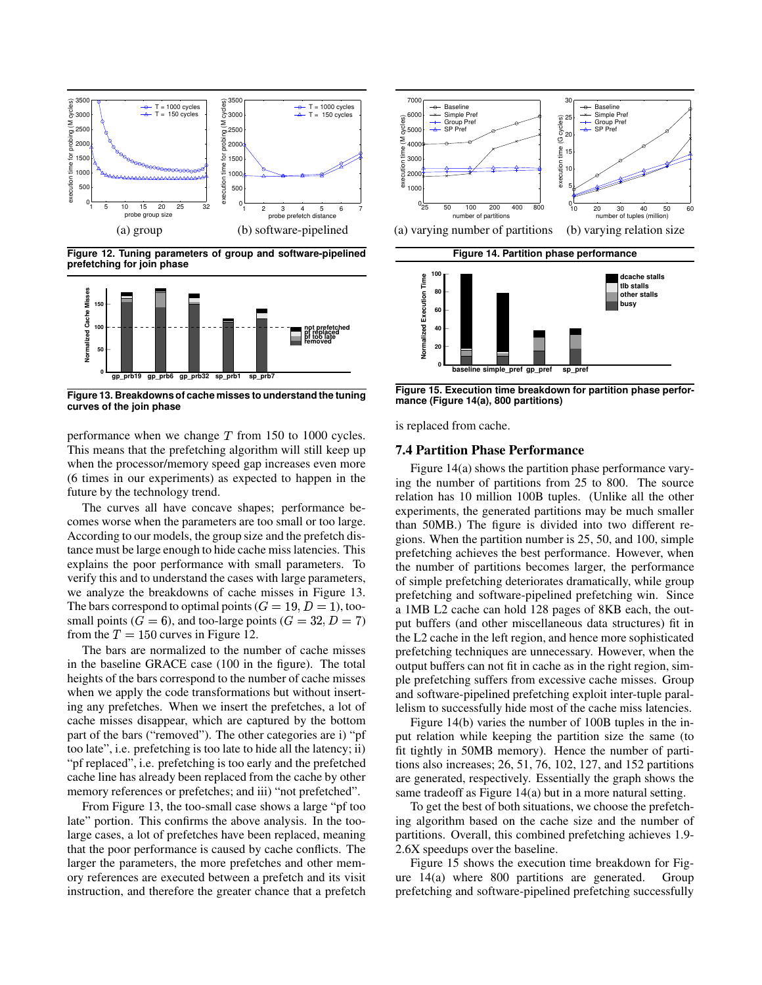

**Figure 12. Tuning parameters of group and software-pipelined prefetching for join phase**



**Figure 13. Breakdownsof cache misses to understandthe tuning curves of the join phase**

performance when we change  $T$  from 150 to 1000 cycles. This means that the prefetching algorithm will still keep up when the processor/memory speed gap increases even more (6 times in our experiments) as expected to happen in the future by the technology trend.

The curves all have concave shapes; performance becomes worse when the parameters are too small or too large. According to our models, the group size and the prefetch distance must be large enough to hide cache miss latencies. This explains the poor performance with small parameters. To verify this and to understand the cases with large parameters, we analyze the breakdowns of cache misses in Figure 13. The bars correspond to optimal points ( $G=19, D=1$ ), toosmall points ( $G=6$ ), and too-large points ( $G=32, D=7$ ) from the  $T=150$  curves in Figure 12.

The bars are normalized to the number of cache misses in the baseline GRACE case (100 in the figure). The total heights of the bars correspond to the number of cache misses when we apply the code transformations but without inserting any prefetches. When we insert the prefetches, a lot of cache misses disappear, which are captured by the bottom part of the bars ("removed"). The other categories are i) "pf too late", i.e. prefetching is too late to hide all the latency; ii) "pf replaced", i.e. prefetching is too early and the prefetched cache line has already been replaced from the cache by other memory references or prefetches; and iii) "not prefetched".

From Figure 13, the too-small case shows a large "pf too late" portion. This confirms the above analysis. In the toolarge cases, a lot of prefetches have been replaced, meaning that the poor performance is caused by cache conflicts. The larger the parameters, the more prefetches and other memory references are executed between a prefetch and its visit instruction, and therefore the greater chance that a prefetch





**Figure 15. Execution time breakdown for partition phase performance (Figure 14(a), 800 partitions)**

is replaced from cache.

#### **7.4 Partition Phase Performance**

Figure 14(a) shows the partition phase performance varying the number of partitions from 25 to 800. The source relation has 10 million 100B tuples. (Unlike all the other experiments, the generated partitions may be much smaller than 50MB.) The figure is divided into two different regions. When the partition number is 25, 50, and 100, simple prefetching achieves the best performance. However, when the number of partitions becomes larger, the performance of simple prefetching deteriorates dramatically, while group prefetching and software-pipelined prefetching win. Since a 1MB L2 cache can hold 128 pages of 8KB each, the output buffers (and other miscellaneous data structures) fit in the L2 cache in the left region, and hence more sophisticated prefetching techniques are unnecessary. However, when the output buffers can not fit in cache as in the right region, simple prefetching suffers from excessive cache misses. Group and software-pipelined prefetching exploit inter-tuple parallelism to successfully hide most of the cache miss latencies.

Figure 14(b) varies the number of 100B tuples in the input relation while keeping the partition size the same (to fit tightly in 50MB memory). Hence the number of partitions also increases; 26, 51, 76, 102, 127, and 152 partitions are generated, respectively. Essentially the graph shows the same tradeoff as Figure 14(a) but in a more natural setting.

To get the best of both situations, we choose the prefetching algorithm based on the cache size and the number of partitions. Overall, this combined prefetching achieves 1.9- 2.6X speedups over the baseline.

Figure 15 shows the execution time breakdown for Figure 14(a) where 800 partitions are generated. Group prefetching and software-pipelined prefetching successfully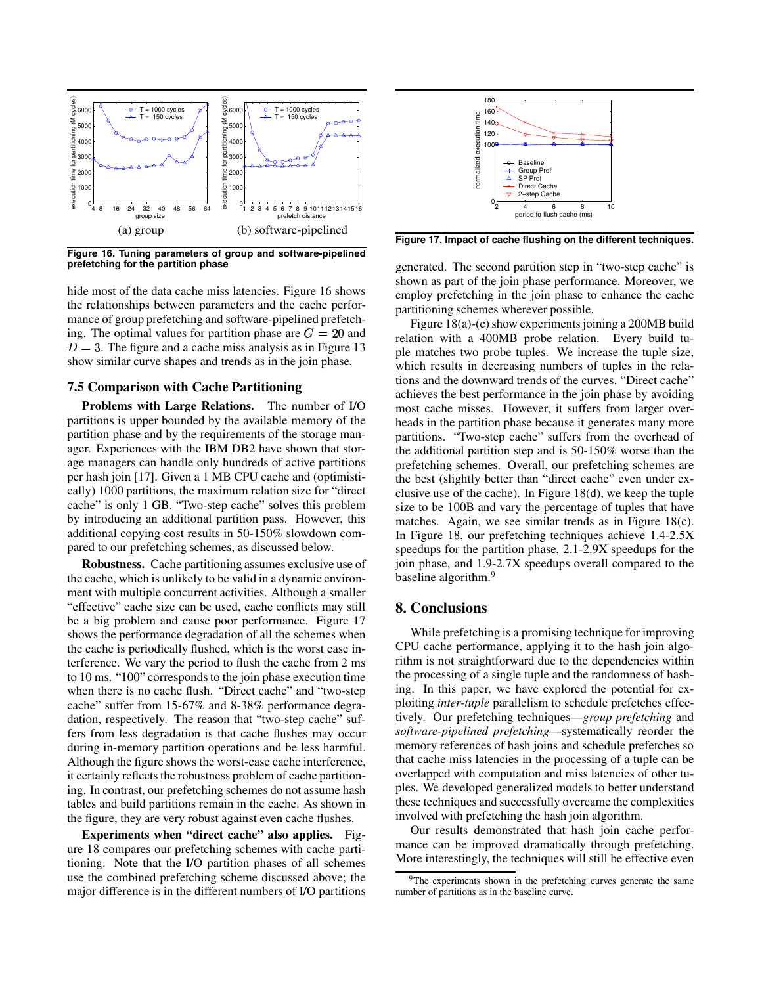

**Figure 16. Tuning parameters of group and software-pipelined prefetching for the partition phase**

hide most of the data cache miss latencies. Figure 16 shows the relationships between parameters and the cache performance of group prefetching and software-pipelined prefetching. The optimal values for partition phase are  $G = 20$  and  $D = 3$ . The figure and a cache miss analysis as in Figure 13 show similar curve shapes and trends as in the join phase.

#### **7.5 Comparison with Cache Partitioning**

**Problems with Large Relations.** The number of I/O partitions is upper bounded by the available memory of the partition phase and by the requirements of the storage manager. Experiences with the IBM DB2 have shown that storage managers can handle only hundreds of active partitions per hash join [17]. Given a 1 MB CPU cache and (optimistically) 1000 partitions, the maximum relation size for "direct cache" is only 1 GB. "Two-step cache" solves this problem by introducing an additional partition pass. However, this additional copying cost results in 50-150% slowdown compared to our prefetching schemes, as discussed below.

**Robustness.** Cache partitioning assumes exclusive use of the cache, which is unlikely to be valid in a dynamic environment with multiple concurrent activities. Although a smaller "effective" cache size can be used, cache conflicts may still be a big problem and cause poor performance. Figure 17 shows the performance degradation of all the schemes when the cache is periodically flushed, which is the worst case interference. We vary the period to flush the cache from 2 ms to 10 ms. "100" corresponds to the join phase execution time when there is no cache flush. "Direct cache" and "two-step cache" suffer from 15-67% and 8-38% performance degradation, respectively. The reason that "two-step cache" suffers from less degradation is that cache flushes may occur during in-memory partition operations and be less harmful. Although the figure shows the worst-case cache interference, it certainly reflects the robustness problem of cache partitioning. In contrast, our prefetching schemes do not assume hash tables and build partitions remain in the cache. As shown in the figure, they are very robust against even cache flushes.

**Experiments when "direct cache" also applies.** Figure 18 compares our prefetching schemes with cache partitioning. Note that the I/O partition phases of all schemes use the combined prefetching scheme discussed above; the major difference is in the different numbers of I/O partitions



**Figure 17. Impact of cache flushing on the different techniques.**

generated. The second partition step in "two-step cache" is shown as part of the join phase performance. Moreover, we employ prefetching in the join phase to enhance the cache partitioning schemes wherever possible.

Figure  $18(a)-(c)$  show experiments joining a 200MB build relation with a 400MB probe relation. Every build tuple matches two probe tuples. We increase the tuple size, which results in decreasing numbers of tuples in the relations and the downward trends of the curves. "Direct cache" achieves the best performance in the join phase by avoiding most cache misses. However, it suffers from larger overheads in the partition phase because it generates many more partitions. "Two-step cache" suffers from the overhead of the additional partition step and is 50-150% worse than the prefetching schemes. Overall, our prefetching schemes are the best (slightly better than "direct cache" even under exclusive use of the cache). In Figure 18(d), we keep the tuple size to be 100B and vary the percentage of tuples that have matches. Again, we see similar trends as in Figure 18(c). In Figure 18, our prefetching techniques achieve 1.4-2.5X speedups for the partition phase, 2.1-2.9X speedups for the join phase, and 1.9-2.7X speedups overall compared to the baseline algorithm.<sup>9</sup>

## **8. Conclusions**

While prefetching is a promising technique for improving CPU cache performance, applying it to the hash join algorithm is not straightforward due to the dependencies within the processing of a single tuple and the randomness of hashing. In this paper, we have explored the potential for exploiting *inter-tuple* parallelism to schedule prefetches effectively. Our prefetching techniques—*group prefetching* and *software-pipelined prefetching*—systematically reorder the memory references of hash joins and schedule prefetches so that cache miss latencies in the processing of a tuple can be overlapped with computation and miss latencies of other tuples. We developed generalized models to better understand these techniques and successfully overcame the complexities involved with prefetching the hash join algorithm.

Our results demonstrated that hash join cache performance can be improved dramatically through prefetching. More interestingly, the techniques will still be effective even

<sup>&</sup>lt;sup>9</sup>The experiments shown in the prefetching curves generate the same number of partitions as in the baseline curve.